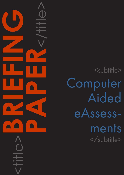<subtitle> Computer Aided eAssessments </subtitle>

<title>**BRIEFING**

**PAPER**<br>CONSTRAINS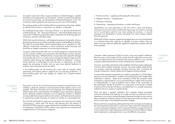### CAPDM Ltd. CAPDM Ltd.

Introduction Successful construction relies on good architecture. Detailed designs, capable foundations, the appropriate use of materials, and the successful management of construction processes, are all guided by architectural blueprints. In turn, the architecture itself is guided by the proposed use and users of the building.

> This analogy applies well to building effective programmes of learning, whether for delivery face to face in a classroom, at a distance, or blended.

> The challenge facing today's "learning architects" is to develop the framework and the blueprints – the "learning architecture" – that will guide the design and construction of effective programmes able to satisfy the ever widening spectrum of learners, and their individual needs.

> Within that overall architecture, well designed assessment can greatly enhance the learning process by providing immediate and personal feedback to students. This helps to promote better overall understanding and a capability for selfreflection. Assessment is therefore a critical catalyst for student learning, and should be an integral component of any learning architecture.

> > **Computer** aided assessment

Computer aided assessment falls into two broad categories: assessments that can be computer marked, and assessments that still require a human valuator somewhere in the loop. While the former is reasonably well catered for (though most people still use it in a content and an educational objective light manner) computer aided tutoring has traditionally be difficult to implement. However recent advances in technology has seen this grow in importance, as it both speeds the processing of results, and can give more detailed feedback to students, tutors and examiners for less effort.

In this briefing paper we will examine the current state of computer aided assessment, and explore where it might fit into your learning architecture. A future briefing paper will cover designs for content rich, computer-marked assessments.

The growth in the use of on-line learning environments has meant that for many institutions, electronic submission and assessment of their student's work is now possible. The Open University uses its own bespoke Tutor Marked Assignment (TMA) system and is experimenting with intelligent essay assessment, applying known statistical analysis techniques such as regression analysis to develop scoring models that compare well to human markers, and latent semantic analysis to estimate how similar one body of content is to another at a meaningful level.

The OU built and tested an open source prototype tutor mentoring tool called ["OpenMentor"](http://kn.open.ac.uk/public/workspace.cfm?wpid=3817), which used 178 known rules derived from the analyse of thousands of TMA responses, to give individual tutors feedback on their marking of assignments. Using Bales (1950) analysis, tutor responses are analysed and categorised into 4 socio-emotive categories:

## **Computer** aided tutoring

- 1. Positive reactions agreeing and boosting the other person;
- 2. Negative reactions disagreement;
- 3. Directing or teaching;
- 4. Questioning requesting information or further clarification.

OpenMentor was used extensively on the OU's MA in Open and Distance Learning course as part of the overall mentoring process, but used as a training tool it is particularly useful for new tutors joining the university. A second prototype was developed to monitor and graph how tutors analyse students free text responses.

While both of these computer aided tutoring applications are not yet developed to a standard where they might be as capable as human markers, they are able to provide weak but statistically significant models that correlate well with human graders.

Computer aided assessment (CAA) has had a long and eventful childhood. Recent surveys on the uptake of CAA confirm that the widely felt concerns that tutors and administrators have had that CAA tools are difficult to use, and that computer aided assessments are mostly 'dumbed-down assessments'.

However, most of the early threats to the credibility of CAA have been addressed. Concerns about students 'guessing' answers, have been largely addressed by new question authoring strategies including removing clues, increasing the number of distractors, and by careful use of negative marking schemes.

Concerns that computer assessments are unable to assess Bloom's (1956) higher learning outcomes (evaluation, synthesis and analysis) have also largely been addressed in research. Boyle et.al concluded in 2002 that computer aided assessment is appropriate for use in examining Bloom's higher level outcomes in undergraduates, so long as sufficient care is taken in the construction of the assessments. Mostert et al (2011) in a study done in the Faculty of Health Sciences at the University of Pretoria, concluded that it is a suitable assessment method to test on a variety of cognitive levels.

There has been a gradual realisation that computer based convergent assessment (leading to the selection of a single answer) is a valid tool to use in assessment, as is as tutor-marked divergent assessment (multiple answer options often provided by students in the form of free-text prose). Both are distinct, and have a role to play in any blended assessment strategy.

There are still many issues being addressed by the CAA community, but mastering the art of assessment authoring is a critical one. There is also still a steep learning curve for assessment designers, and it is important that they are given the time to work to reduce the scope of guessing, test learning outcomes at Bloom's higher level of abstraction, and explore how to vary the difficulty of questions.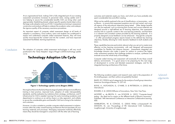## CAPDM Ltd. CAPDM Ltd.

## Conclusion

At an organisational level, making CAA a fully integrated part of your existing assessment procedures increases its perceived value, easing uptake and in turn helping to secure the considerable benefits CAA can bring when used appropriately. Establishing shared, subject-specific question banks help to drive the large scale adoption and use of CAA. Comprehensive training in assessment construction and analysis will help to underpin the academic value, and underpin the rigorous quality of the necessary assurance procedures.

An important aspect of computer aided assessment design at all levels of adoption is consistency. Once authors, tutors and students are conditioned to expect and understand computer aided assessment features, they will more quickly move beyond the 'context' and into the 'content', and have improved assessment facilitated, learning experiences.

The adoption of computer aided assessment technologies is still very much positioned in the "*Early Adopters*" stage of Roger's (2003) technology uptake curve.



# Technology Adoption Life Cycle

outcomes and materials assets you have, and which you have probably also spent considerable time and effort creating.

What can be usefully explored is the use of classifications, or taxonomies – such as Bloom – to ensure that assessment questions are rich and varied, and cover all aspects of the educational objectives being tested. Other design benefits can also be explored, such as ensuring that courses and course materials are designed around a well-defined set of learning objectives, that assessment answers link to a specific context in the core learning materials, and that there is a coherent and consistent context provided by the learning materials. In a properly designed course feedback can be enhanced – through the computer – to offer personalised progress reports based on the defined key learning objectives, thereby allowing for richer dynamic feedback to both students and tutors.

These capabilities become particularly relevant when you set out to create more effective on-line learning environments, with well designed self-assessment capabilities for flexible and distance learners. Assessments integrated into knowledge domains also make it easier for authors to construct the higher order assessment questions that challenge students to analyse, synthesise and evaluate across the whole body of knowledge.

Computer aided tutoring and assessment will eventually fit into these overall delivery environments. It is good sense to be preparing for this next stage of development in on-line and blended assessment strategies, and for the integrated learning architectures of the future.

The following academic papers and research were used in the preparation of this briefing paper, and their authors are gratefully thanked.

BALES, R.F. (1950) A set of categories for the analysis of small group interaction. American Sociological Review 15: 257-63.

BOYLE, A., HUTCHISON, D., O'HARE, D. & PATTERSON, A. (2002) Item International.

ROGERS, E. M. (2003) Diffusion of Innovations, New York, Free Press.

MOSTERT, e., de BRUYN, E., van SCHOOR, A., (2011) "Computer-based testing - the ideal tool to assess on the different levels of Bloom's taxonomy". Published: 14th International Conference on Interactive Collaborative Learning. IEEE.

WARBURTON, W. & CONOLE, G. (2005) Wither e-Assessment? IN: DANSON, M., ed., Proceedings of 9th International CAA Conference. Loughborough, University of Loughborough.

Figure 1: Technology uptake curve (Rogers 2003)

Moving from there into the *Early Majority* stage of uptake will require more effective training in best practice, improved tools, adoption of wider interoperability standards, and the realisation by institutions that a strategy, architecture, and IT infrastructure for CAA is needed. Leaving it for early innovating academics and departments to continue on an ad-hoc basis is a risky approach, and unlikely to secure the considerable gains and benefits CAA has to bring to the institution and customers.

However, it is also a mistake to consider computer aided assessment in isolation. It exists within the wider overall learning architecture that encapsulates all your learning materials and processes. Managing assessment materials effectively means they should be managed in conjunction with the other sets of learning

Acknowledgements